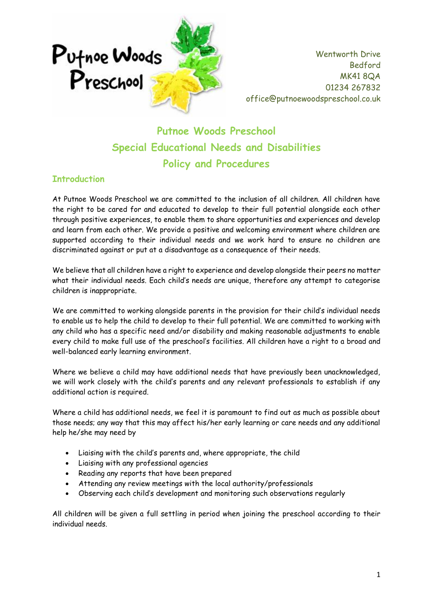

**Putnoe Woods Preschool Special Educational Needs and Disabilities Policy and Procedures**

# **Introduction**

At Putnoe Woods Preschool we are committed to the inclusion of all children. All children have the right to be cared for and educated to develop to their full potential alongside each other through positive experiences, to enable them to share opportunities and experiences and develop and learn from each other. We provide a positive and welcoming environment where children are supported according to their individual needs and we work hard to ensure no children are discriminated against or put at a disadvantage as a consequence of their needs.

We believe that all children have a right to experience and develop alongside their peers no matter what their individual needs. Each child's needs are unique, therefore any attempt to categorise children is inappropriate.

We are committed to working alongside parents in the provision for their child's individual needs to enable us to help the child to develop to their full potential. We are committed to working with any child who has a specific need and/or disability and making reasonable adjustments to enable every child to make full use of the preschool's facilities. All children have a right to a broad and well-balanced early learning environment.

Where we believe a child may have additional needs that have previously been unacknowledged, we will work closely with the child's parents and any relevant professionals to establish if any additional action is required.

Where a child has additional needs, we feel it is paramount to find out as much as possible about those needs; any way that this may affect his/her early learning or care needs and any additional help he/she may need by

- Liaising with the child's parents and, where appropriate, the child
- Liaising with any professional agencies
- Reading any reports that have been prepared
- Attending any review meetings with the local authority/professionals
- Observing each child's development and monitoring such observations regularly

All children will be given a full settling in period when joining the preschool according to their individual needs.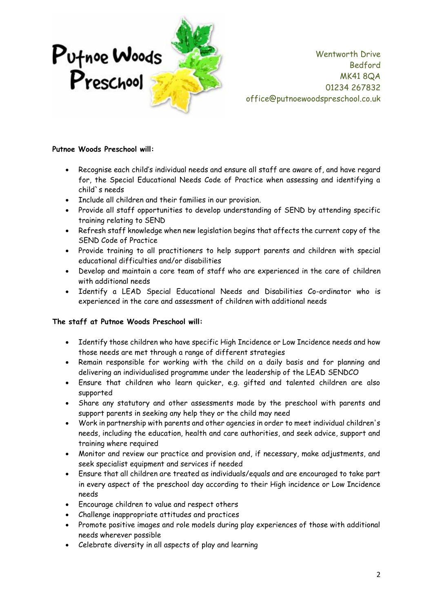

### **Putnoe Woods Preschool will:**

- Recognise each child's individual needs and ensure all staff are aware of, and have regard for, the Special Educational Needs Code of Practice when assessing and identifying a child`s needs
- Include all children and their families in our provision.
- Provide all staff opportunities to develop understanding of SEND by attending specific training relating to SEND
- Refresh staff knowledge when new legislation begins that affects the current copy of the SEND Code of Practice
- Provide training to all practitioners to help support parents and children with special educational difficulties and/or disabilities
- Develop and maintain a core team of staff who are experienced in the care of children with additional needs
- Identify a LEAD Special Educational Needs and Disabilities Co-ordinator who is experienced in the care and assessment of children with additional needs

### **The staff at Putnoe Woods Preschool will:**

- Identify those children who have specific High Incidence or Low Incidence needs and how those needs are met through a range of different strategies
- Remain responsible for working with the child on a daily basis and for planning and delivering an individualised programme under the leadership of the LEAD SENDCO
- Ensure that children who learn quicker, e.g. gifted and talented children are also supported
- Share any statutory and other assessments made by the preschool with parents and support parents in seeking any help they or the child may need
- Work in partnership with parents and other agencies in order to meet individual children's needs, including the education, health and care authorities, and seek advice, support and training where required
- Monitor and review our practice and provision and, if necessary, make adjustments, and seek specialist equipment and services if needed
- Ensure that all children are treated as individuals/equals and are encouraged to take part in every aspect of the preschool day according to their High incidence or Low Incidence needs
- Encourage children to value and respect others
- Challenge inappropriate attitudes and practices
- Promote positive images and role models during play experiences of those with additional needs wherever possible
- Celebrate diversity in all aspects of play and learning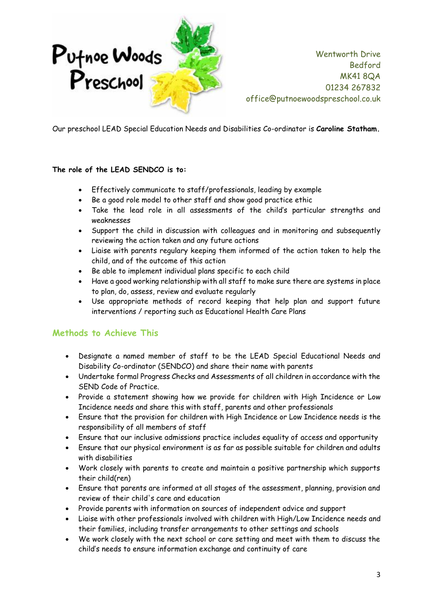

Our preschool LEAD Special Education Needs and Disabilities Co-ordinator is **Caroline Statham.**

### **The role of the LEAD SENDCO is to:**

- Effectively communicate to staff/professionals, leading by example
- Be a good role model to other staff and show good practice ethic
- Take the lead role in all assessments of the child's particular strengths and weaknesses
- Support the child in discussion with colleagues and in monitoring and subsequently reviewing the action taken and any future actions
- Liaise with parents regulary keeping them informed of the action taken to help the child, and of the outcome of this action
- Be able to implement individual plans specific to each child
- Have a good working relationship with all staff to make sure there are systems in place to plan, do, assess, review and evaluate regularly
- Use appropriate methods of record keeping that help plan and support future interventions / reporting such as Educational Health Care Plans

# **Methods to Achieve This**

- Designate a named member of staff to be the LEAD Special Educational Needs and Disability Co-ordinator (SENDCO) and share their name with parents
- Undertake formal Progress Checks and Assessments of all children in accordance with the SEND Code of Practice.
- Provide a statement showing how we provide for children with High Incidence or Low Incidence needs and share this with staff, parents and other professionals
- Ensure that the provision for children with High Incidence or Low Incidence needs is the responsibility of all members of staff
- Ensure that our inclusive admissions practice includes equality of access and opportunity
- Ensure that our physical environment is as far as possible suitable for children and adults with disabilities
- Work closely with parents to create and maintain a positive partnership which supports their child(ren)
- Ensure that parents are informed at all stages of the assessment, planning, provision and review of their child's care and education
- Provide parents with information on sources of independent advice and support
- Liaise with other professionals involved with children with High/Low Incidence needs and their families, including transfer arrangements to other settings and schools
- We work closely with the next school or care setting and meet with them to discuss the child's needs to ensure information exchange and continuity of care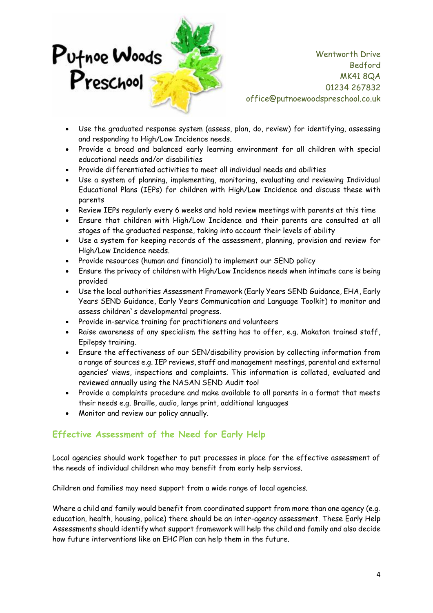

- Use the graduated response system (assess, plan, do, review) for identifying, assessing and responding to High/Low Incidence needs.
- Provide a broad and balanced early learning environment for all children with special educational needs and/or disabilities
- Provide differentiated activities to meet all individual needs and abilities
- Use a system of planning, implementing, monitoring, evaluating and reviewing Individual Educational Plans (IEPs) for children with High/Low Incidence and discuss these with parents
- Review IEPs regularly every 6 weeks and hold review meetings with parents at this time
- Ensure that children with High/Low Incidence and their parents are consulted at all stages of the graduated response, taking into account their levels of ability
- Use a system for keeping records of the assessment, planning, provision and review for High/Low Incidence needs.
- Provide resources (human and financial) to implement our SEND policy
- Ensure the privacy of children with High/Low Incidence needs when intimate care is being provided
- Use the local authorities Assessment Framework (Early Years SEND Guidance, EHA, Early Years SEND Guidance, Early Years Communication and Language Toolkit) to monitor and assess children`s developmental progress.
- Provide in-service training for practitioners and volunteers
- Raise awareness of any specialism the setting has to offer, e.g. Makaton trained staff, Epilepsy training.
- Ensure the effectiveness of our SEN/disability provision by collecting information from a range of sources e.g. IEP reviews, staff and management meetings, parental and external agencies' views, inspections and complaints. This information is collated, evaluated and reviewed annually using the NASAN SEND Audit tool
- Provide a complaints procedure and make available to all parents in a format that meets their needs e.g. Braille, audio, large print, additional languages
- Monitor and review our policy annually.

# **Effective Assessment of the Need for Early Help**

Local agencies should work together to put processes in place for the effective assessment of the needs of individual children who may benefit from early help services.

Children and families may need support from a wide range of local agencies.

Where a child and family would benefit from coordinated support from more than one agency (e.g. education, health, housing, police) there should be an inter-agency assessment. These Early Help Assessments should identify what support framework will help the child and family and also decide how future interventions like an EHC Plan can help them in the future.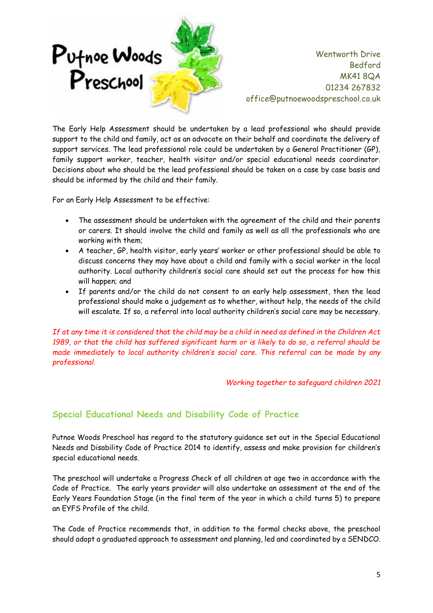

The Early Help Assessment should be undertaken by a lead professional who should provide support to the child and family, act as an advocate on their behalf and coordinate the delivery of support services. The lead professional role could be undertaken by a General Practitioner (GP), family support worker, teacher, health visitor and/or special educational needs coordinator. Decisions about who should be the lead professional should be taken on a case by case basis and should be informed by the child and their family.

For an Early Help Assessment to be effective:

- The assessment should be undertaken with the agreement of the child and their parents or carers. It should involve the child and family as well as all the professionals who are working with them;
- A teacher, GP, health visitor, early years' worker or other professional should be able to discuss concerns they may have about a child and family with a social worker in the local authority. Local authority children's social care should set out the process for how this will happen; and
- If parents and/or the child do not consent to an early help assessment, then the lead professional should make a judgement as to whether, without help, the needs of the child will escalate. If so, a referral into local authority children's social care may be necessary.

*If at any time it is considered that the child may be a child in need as defined in the Children Act 1989, or that the child has suffered significant harm or is likely to do so, a referral should be made immediately to local authority children's social care. This referral can be made by any professional.*

*Working together to safeguard children 2021*

# **Special Educational Needs and Disability Code of Practice**

Putnoe Woods Preschool has regard to the statutory guidance set out in the Special Educational Needs and Disability Code of Practice 2014 to identify, assess and make provision for children's special educational needs.

The preschool will undertake a Progress Check of all children at age two in accordance with the Code of Practice. The early years provider will also undertake an assessment at the end of the Early Years Foundation Stage (in the final term of the year in which a child turns 5) to prepare an EYFS Profile of the child.

The Code of Practice recommends that, in addition to the formal checks above, the preschool should adopt a graduated approach to assessment and planning, led and coordinated by a SENDCO.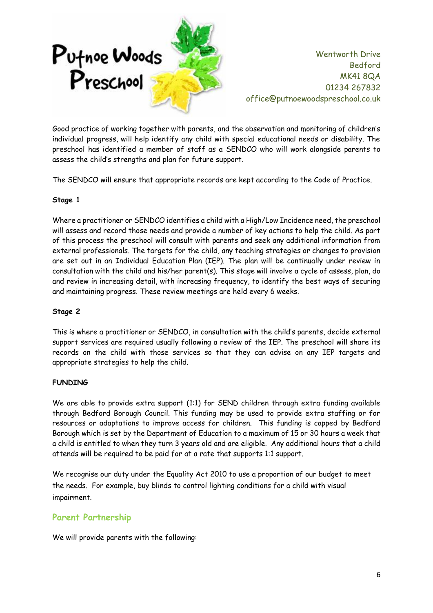

Good practice of working together with parents, and the observation and monitoring of children's individual progress, will help identify any child with special educational needs or disability. The preschool has identified a member of staff as a SENDCO who will work alongside parents to assess the child's strengths and plan for future support.

The SENDCO will ensure that appropriate records are kept according to the Code of Practice.

### **Stage 1**

Where a practitioner or SENDCO identifies a child with a High/Low Incidence need, the preschool will assess and record those needs and provide a number of key actions to help the child. As part of this process the preschool will consult with parents and seek any additional information from external professionals. The targets for the child, any teaching strategies or changes to provision are set out in an Individual Education Plan (IEP). The plan will be continually under review in consultation with the child and his/her parent(s). This stage will involve a cycle of assess, plan, do and review in increasing detail, with increasing frequency, to identify the best ways of securing and maintaining progress. These review meetings are held every 6 weeks.

### **Stage 2**

This is where a practitioner or SENDCO, in consultation with the child's parents, decide external support services are required usually following a review of the IEP. The preschool will share its records on the child with those services so that they can advise on any IEP targets and appropriate strategies to help the child.

### **FUNDING**

We are able to provide extra support (1:1) for SEND children through extra funding available through Bedford Borough Council. This funding may be used to provide extra staffing or for resources or adaptations to improve access for children. This funding is capped by Bedford Borough which is set by the Department of Education to a maximum of 15 or 30 hours a week that a child is entitled to when they turn 3 years old and are eligible. Any additional hours that a child attends will be required to be paid for at a rate that supports 1:1 support.

We recognise our duty under the Equality Act 2010 to use a proportion of our budget to meet the needs. For example, buy blinds to control lighting conditions for a child with visual impairment.

# **Parent Partnership**

We will provide parents with the following: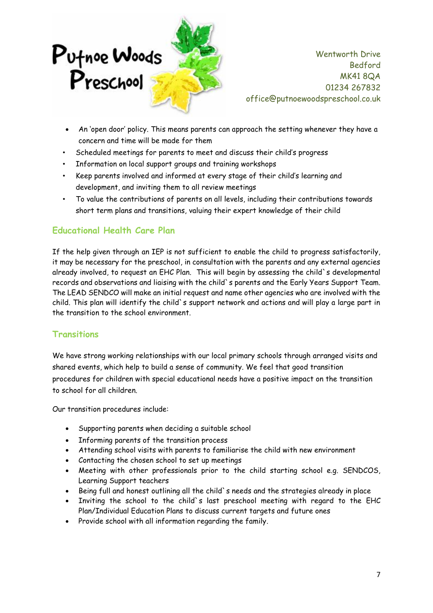

- An 'open door' policy. This means parents can approach the setting whenever they have a concern and time will be made for them
- Scheduled meetings for parents to meet and discuss their child's progress
- Information on local support groups and training workshops
- Keep parents involved and informed at every stage of their child's learning and development, and inviting them to all review meetings
- To value the contributions of parents on all levels, including their contributions towards short term plans and transitions, valuing their expert knowledge of their child

# **Educational Health Care Plan**

If the help given through an IEP is not sufficient to enable the child to progress satisfactorily, it may be necessary for the preschool, in consultation with the parents and any external agencies already involved, to request an EHC Plan. This will begin by assessing the child's developmental records and observations and liaising with the child`s parents and the Early Years Support Team. The LEAD SENDCO will make an initial request and name other agencies who are involved with the child. This plan will identify the child`s support network and actions and will play a large part in the transition to the school environment.

# **Transitions**

We have strong working relationships with our local primary schools through arranged visits and shared events, which help to build a sense of community. We feel that good transition procedures for children with special educational needs have a positive impact on the transition to school for all children.

Our transition procedures include:

- Supporting parents when deciding a suitable school
- Informing parents of the transition process
- Attending school visits with parents to familiarise the child with new environment
- Contacting the chosen school to set up meetings
- Meeting with other professionals prior to the child starting school e.g. SENDCOS, Learning Support teachers
- Being full and honest outlining all the child`s needs and the strategies already in place
- Inviting the school to the child`s last preschool meeting with regard to the EHC Plan/Individual Education Plans to discuss current targets and future ones
- Provide school with all information regarding the family.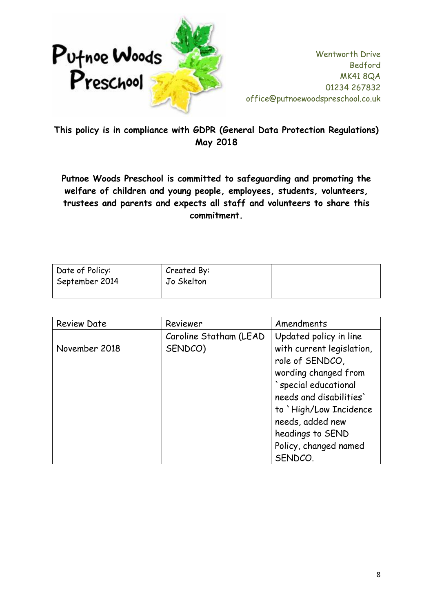

**This policy is in compliance with GDPR (General Data Protection Regulations) May 2018**

**Putnoe Woods Preschool is committed to safeguarding and promoting the welfare of children and young people, employees, students, volunteers, trustees and parents and expects all staff and volunteers to share this commitment.**

| Date of Policy: | Created By: |  |
|-----------------|-------------|--|
| September 2014  | Jo Skelton  |  |
|                 |             |  |

| <b>Review Date</b> | Reviewer                          | Amendments                                                                                                                                                                                      |
|--------------------|-----------------------------------|-------------------------------------------------------------------------------------------------------------------------------------------------------------------------------------------------|
| November 2018      | Caroline Statham (LEAD<br>SENDCO) | Updated policy in line<br>with current legislation,<br>role of SENDCO,<br>wording changed from<br>`special educational<br>needs and disabilities'<br>to `High/Low Incidence<br>needs, added new |
|                    |                                   | headings to SEND                                                                                                                                                                                |
|                    |                                   | Policy, changed named                                                                                                                                                                           |
|                    |                                   | SENDCO.                                                                                                                                                                                         |